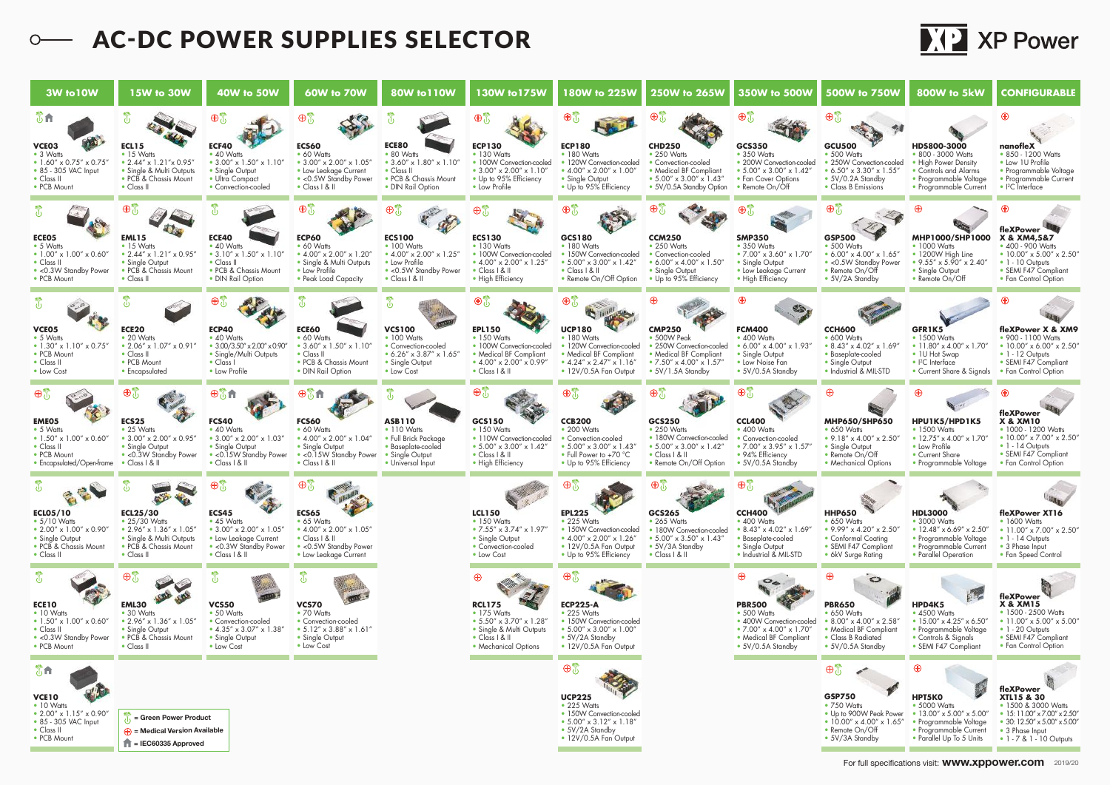## **C-DC POWER SUPPLIES SELECTOR**